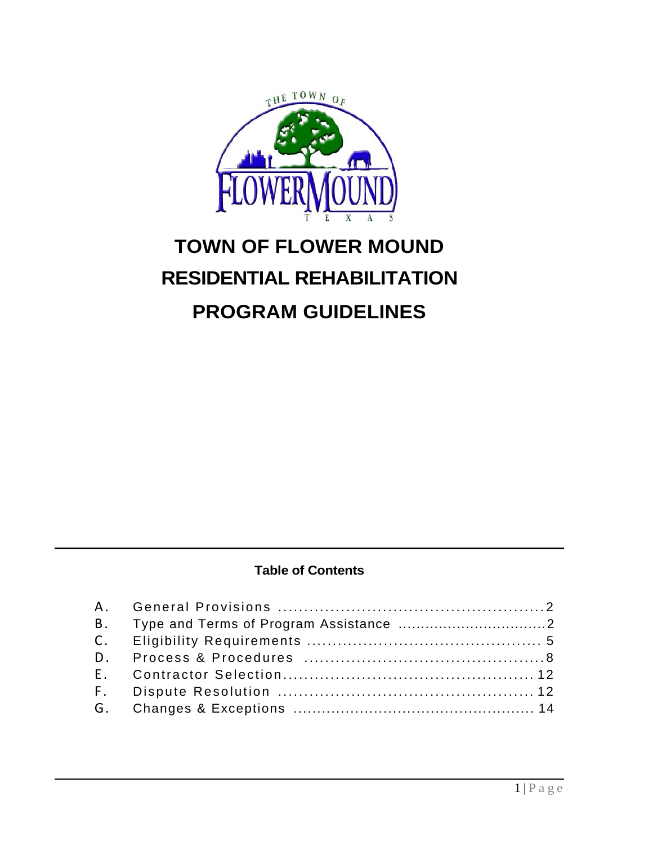

# **TOWN OF FLOWER MOUND RESIDENTIAL REHABILITATION PROGRAM GUIDELINES**

# **Table of Contents**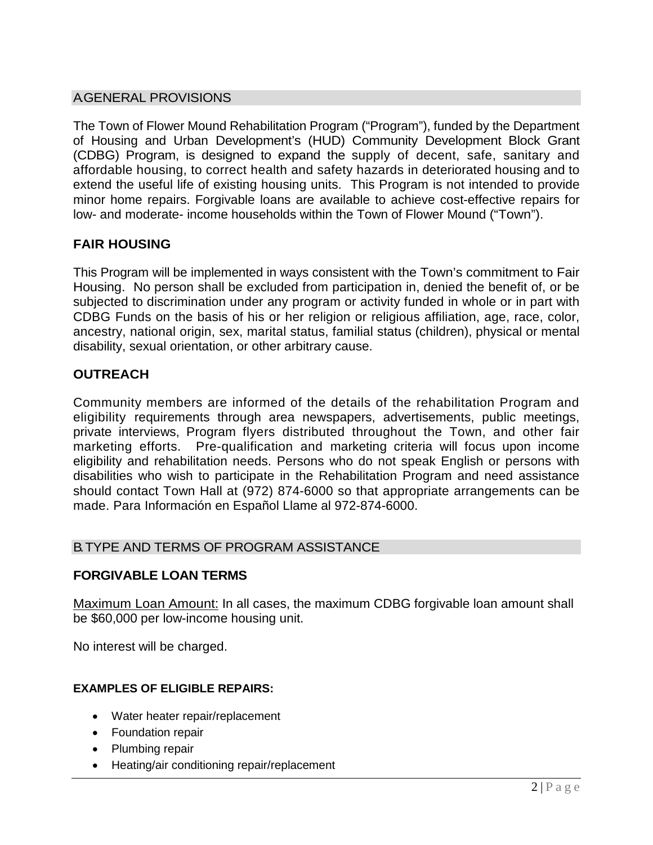## A.GENERAL PROVISIONS

The Town of Flower Mound Rehabilitation Program ("Program"), funded by the Department of Housing and Urban Development's (HUD) Community Development Block Grant (CDBG) Program, is designed to expand the supply of decent, safe, sanitary and affordable housing, to correct health and safety hazards in deteriorated housing and to extend the useful life of existing housing units. This Program is not intended to provide minor home repairs. Forgivable loans are available to achieve cost-effective repairs for low- and moderate- income households within the Town of Flower Mound ("Town").

# **FAIR HOUSING**

This Program will be implemented in ways consistent with the Town's commitment to Fair Housing. No person shall be excluded from participation in, denied the benefit of, or be subjected to discrimination under any program or activity funded in whole or in part with CDBG Funds on the basis of his or her religion or religious affiliation, age, race, color, ancestry, national origin, sex, marital status, familial status (children), physical or mental disability, sexual orientation, or other arbitrary cause.

# **OUTREACH**

Community members are informed of the details of the rehabilitation Program and eligibility requirements through area newspapers, advertisements, public meetings, private interviews, Program flyers distributed throughout the Town, and other fair marketing efforts. Pre-qualification and marketing criteria will focus upon income eligibility and rehabilitation needs. Persons who do not speak English or persons with disabilities who wish to participate in the Rehabilitation Program and need assistance should contact Town Hall at (972) 874-6000 so that appropriate arrangements can be made. Para Información en Español Llame al 972-874-6000.

## B. TYPE AND TERMS OF PROGRAM ASSISTANCE

## **FORGIVABLE LOAN TERMS**

Maximum Loan Amount: In all cases, the maximum CDBG forgivable loan amount shall be \$60,000 per low-income housing unit.

No interest will be charged.

## **EXAMPLES OF ELIGIBLE REPAIRS:**

- Water heater repair/replacement
- Foundation repair
- Plumbing repair
- Heating/air conditioning repair/replacement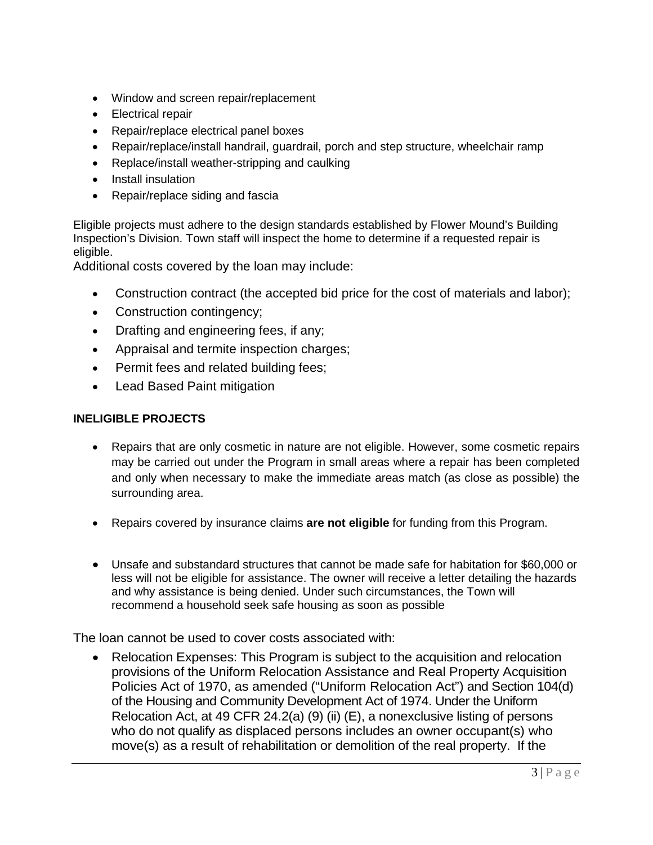- Window and screen repair/replacement
- Electrical repair
- Repair/replace electrical panel boxes
- Repair/replace/install handrail, guardrail, porch and step structure, wheelchair ramp
- Replace/install weather-stripping and caulking
- Install insulation
- Repair/replace siding and fascia

Eligible projects must adhere to the design standards established by Flower Mound's Building Inspection's Division. Town staff will inspect the home to determine if a requested repair is eligible.

Additional costs covered by the loan may include:

- Construction contract (the accepted bid price for the cost of materials and labor);
- Construction contingency;
- Drafting and engineering fees, if any;
- Appraisal and termite inspection charges;
- Permit fees and related building fees;
- Lead Based Paint mitigation

#### **INELIGIBLE PROJECTS**

- Repairs that are only cosmetic in nature are not eligible. However, some cosmetic repairs may be carried out under the Program in small areas where a repair has been completed and only when necessary to make the immediate areas match (as close as possible) the surrounding area.
- Repairs covered by insurance claims **are not eligible** for funding from this Program.
- Unsafe and substandard structures that cannot be made safe for habitation for \$60,000 or less will not be eligible for assistance. The owner will receive a letter detailing the hazards and why assistance is being denied. Under such circumstances, the Town will recommend a household seek safe housing as soon as possible

The loan cannot be used to cover costs associated with:

• Relocation Expenses: This Program is subject to the acquisition and relocation provisions of the Uniform Relocation Assistance and Real Property Acquisition Policies Act of 1970, as amended ("Uniform Relocation Act") and Section 104(d) of the Housing and Community Development Act of 1974. Under the Uniform Relocation Act, at 49 CFR 24.2(a) (9) (ii) (E), a nonexclusive listing of persons who do not qualify as displaced persons includes an owner occupant(s) who move(s) as a result of rehabilitation or demolition of the real property. If the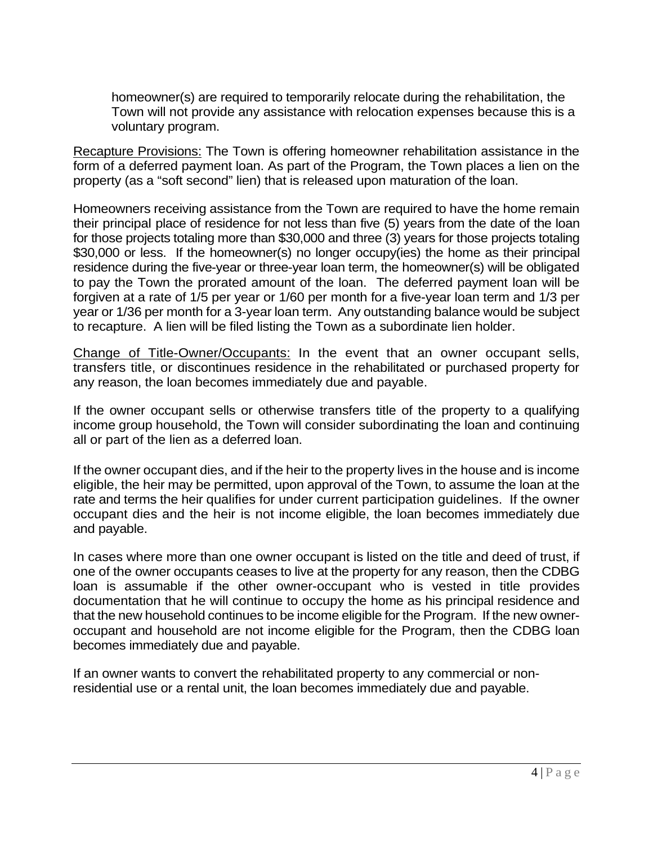homeowner(s) are required to temporarily relocate during the rehabilitation, the Town will not provide any assistance with relocation expenses because this is a voluntary program.

Recapture Provisions: The Town is offering homeowner rehabilitation assistance in the form of a deferred payment loan. As part of the Program, the Town places a lien on the property (as a "soft second" lien) that is released upon maturation of the loan.

Homeowners receiving assistance from the Town are required to have the home remain their principal place of residence for not less than five (5) years from the date of the loan for those projects totaling more than \$30,000 and three (3) years for those projects totaling \$30,000 or less. If the homeowner(s) no longer occupy(ies) the home as their principal residence during the five-year or three-year loan term, the homeowner(s) will be obligated to pay the Town the prorated amount of the loan. The deferred payment loan will be forgiven at a rate of 1/5 per year or 1/60 per month for a five-year loan term and 1/3 per year or 1/36 per month for a 3-year loan term. Any outstanding balance would be subject to recapture. A lien will be filed listing the Town as a subordinate lien holder.

Change of Title-Owner/Occupants: In the event that an owner occupant sells, transfers title, or discontinues residence in the rehabilitated or purchased property for any reason, the loan becomes immediately due and payable.

If the owner occupant sells or otherwise transfers title of the property to a qualifying income group household, the Town will consider subordinating the loan and continuing all or part of the lien as a deferred loan.

If the owner occupant dies, and if the heir to the property lives in the house and is income eligible, the heir may be permitted, upon approval of the Town, to assume the loan at the rate and terms the heir qualifies for under current participation guidelines. If the owner occupant dies and the heir is not income eligible, the loan becomes immediately due and payable.

In cases where more than one owner occupant is listed on the title and deed of trust, if one of the owner occupants ceases to live at the property for any reason, then the CDBG loan is assumable if the other owner-occupant who is vested in title provides documentation that he will continue to occupy the home as his principal residence and that the new household continues to be income eligible for the Program. If the new owneroccupant and household are not income eligible for the Program, then the CDBG loan becomes immediately due and payable.

If an owner wants to convert the rehabilitated property to any commercial or nonresidential use or a rental unit, the loan becomes immediately due and payable.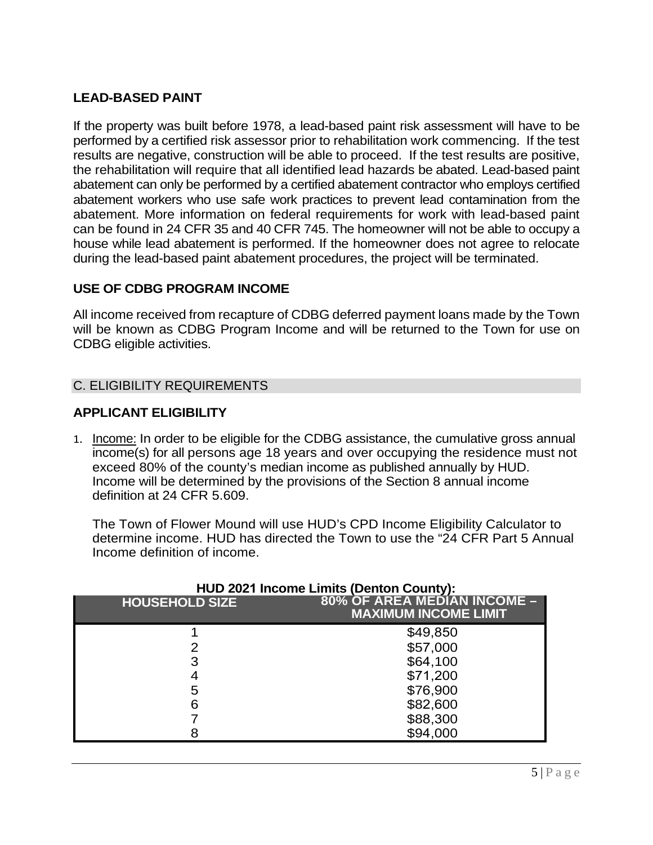## **LEAD-BASED PAINT**

If the property was built before 1978, a lead-based paint risk assessment will have to be performed by a certified risk assessor prior to rehabilitation work commencing. If the test results are negative, construction will be able to proceed. If the test results are positive, the rehabilitation will require that all identified lead hazards be abated. Lead-based paint abatement can only be performed by a certified abatement contractor who employs certified abatement workers who use safe work practices to prevent lead contamination from the abatement. More information on federal requirements for work with lead-based paint can be found in 24 CFR 35 and 40 CFR 745. The homeowner will not be able to occupy a house while lead abatement is performed. If the homeowner does not agree to relocate during the lead-based paint abatement procedures, the project will be terminated.

## **USE OF CDBG PROGRAM INCOME**

All income received from recapture of CDBG deferred payment loans made by the Town will be known as CDBG Program Income and will be returned to the Town for use on CDBG eligible activities.

## C. ELIGIBILITY REQUIREMENTS

## **APPLICANT ELIGIBILITY**

1. Income: In order to be eligible for the CDBG assistance, the cumulative gross annual income(s) for all persons age 18 years and over occupying the residence must not exceed 80% of the county's median income as published annually by HUD. Income will be determined by the provisions of the Section 8 annual income definition at 24 CFR 5.609.

The Town of Flower Mound will use HUD's CPD Income Eligibility Calculator to determine income. HUD has directed the Town to use the "24 CFR Part 5 Annual Income definition of income.

| <b>HOUSEHOLD SIZE</b> | 80% OF AREA MEDIAN INCOME -<br><b>MAXIMUM INCOME LIMIT</b> |
|-----------------------|------------------------------------------------------------|
|                       | \$49,850                                                   |
|                       | \$57,000                                                   |
| 3                     | \$64,100                                                   |
|                       | \$71,200                                                   |
| 5                     | \$76,900                                                   |
| 6                     | \$82,600                                                   |
|                       | \$88,300                                                   |
|                       | \$94,000                                                   |

## **HUD 2021 Income Limits (Denton County):**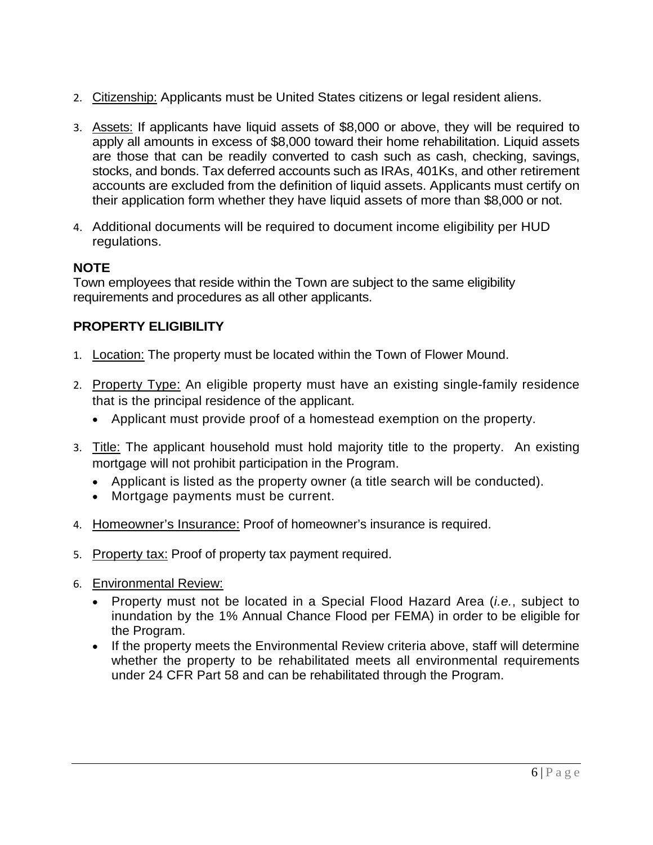- 2. Citizenship: Applicants must be United States citizens or legal resident aliens.
- 3. Assets: If applicants have liquid assets of \$8,000 or above, they will be required to apply all amounts in excess of \$8,000 toward their home rehabilitation. Liquid assets are those that can be readily converted to cash such as cash, checking, savings, stocks, and bonds. Tax deferred accounts such as IRAs, 401Ks, and other retirement accounts are excluded from the definition of liquid assets. Applicants must certify on their application form whether they have liquid assets of more than \$8,000 or not.
- 4. Additional documents will be required to document income eligibility per HUD regulations.

# **NOTE**

Town employees that reside within the Town are subject to the same eligibility requirements and procedures as all other applicants.

# **PROPERTY ELIGIBILITY**

- 1. Location: The property must be located within the Town of Flower Mound.
- 2. Property Type: An eligible property must have an existing single-family residence that is the principal residence of the applicant.
	- Applicant must provide proof of a homestead exemption on the property.
- 3. Title: The applicant household must hold majority title to the property. An existing mortgage will not prohibit participation in the Program.
	- Applicant is listed as the property owner (a title search will be conducted).
	- Mortgage payments must be current.
- 4. Homeowner's Insurance: Proof of homeowner's insurance is required.
- 5. Property tax: Proof of property tax payment required.
- 6. Environmental Review:
	- Property must not be located in a Special Flood Hazard Area (*i.e.*, subject to inundation by the 1% Annual Chance Flood per FEMA) in order to be eligible for the Program.
	- If the property meets the Environmental Review criteria above, staff will determine whether the property to be rehabilitated meets all environmental requirements under 24 CFR Part 58 and can be rehabilitated through the Program.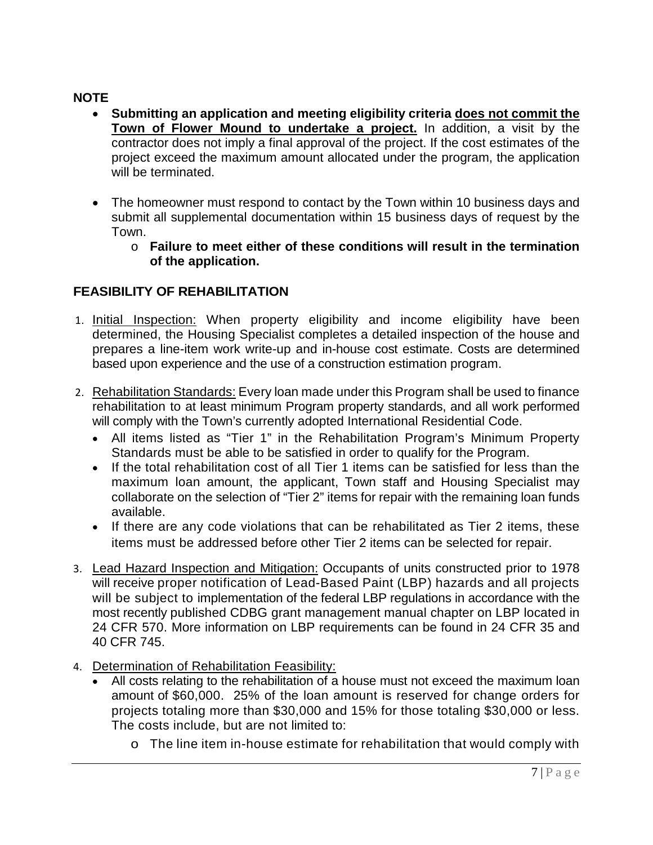# **NOTE**

- **Submitting an application and meeting eligibility criteria does not commit the Town of Flower Mound to undertake a project.** In addition, a visit by the contractor does not imply a final approval of the project. If the cost estimates of the project exceed the maximum amount allocated under the program, the application will be terminated.
- The homeowner must respond to contact by the Town within 10 business days and submit all supplemental documentation within 15 business days of request by the Town.
	- o **Failure to meet either of these conditions will result in the termination of the application.**

# **FEASIBILITY OF REHABILITATION**

- 1. Initial Inspection: When property eligibility and income eligibility have been determined, the Housing Specialist completes a detailed inspection of the house and prepares a line-item work write-up and in-house cost estimate. Costs are determined based upon experience and the use of a construction estimation program.
- 2. Rehabilitation Standards: Every loan made under this Program shall be used to finance rehabilitation to at least minimum Program property standards, and all work performed will comply with the Town's currently adopted International Residential Code.
	- All items listed as "Tier 1" in the Rehabilitation Program's Minimum Property Standards must be able to be satisfied in order to qualify for the Program.
	- If the total rehabilitation cost of all Tier 1 items can be satisfied for less than the maximum loan amount, the applicant, Town staff and Housing Specialist may collaborate on the selection of "Tier 2" items for repair with the remaining loan funds available.
	- If there are any code violations that can be rehabilitated as Tier 2 items, these items must be addressed before other Tier 2 items can be selected for repair.
- 3. Lead Hazard Inspection and Mitigation: Occupants of units constructed prior to 1978 will receive proper notification of Lead-Based Paint (LBP) hazards and all projects will be subject to implementation of the federal LBP regulations in accordance with the most recently published CDBG grant management manual chapter on LBP located in 24 CFR 570. More information on LBP requirements can be found in 24 CFR 35 and 40 CFR 745.
- 4. Determination of Rehabilitation Feasibility:
	- All costs relating to the rehabilitation of a house must not exceed the maximum loan amount of \$60,000. 25% of the loan amount is reserved for change orders for projects totaling more than \$30,000 and 15% for those totaling \$30,000 or less. The costs include, but are not limited to:
		- o The line item in-house estimate for rehabilitation that would comply with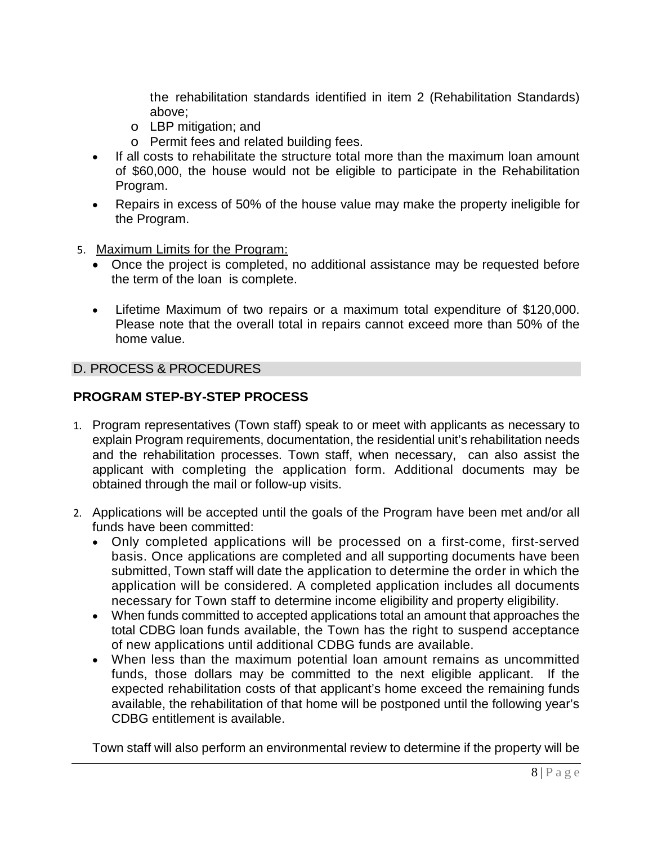the rehabilitation standards identified in item 2 (Rehabilitation Standards) above;

- o LBP mitigation; and
- o Permit fees and related building fees.
- If all costs to rehabilitate the structure total more than the maximum loan amount of \$60,000, the house would not be eligible to participate in the Rehabilitation Program.
- Repairs in excess of 50% of the house value may make the property ineligible for the Program.
- 5. Maximum Limits for the Program:
	- Once the project is completed, no additional assistance may be requested before the term of the loan is complete.
	- Lifetime Maximum of two repairs or a maximum total expenditure of \$120,000. Please note that the overall total in repairs cannot exceed more than 50% of the home value.

## D. PROCESS & PROCEDURES

## **PROGRAM STEP-BY-STEP PROCESS**

- 1. Program representatives (Town staff) speak to or meet with applicants as necessary to explain Program requirements, documentation, the residential unit's rehabilitation needs and the rehabilitation processes. Town staff, when necessary, can also assist the applicant with completing the application form. Additional documents may be obtained through the mail or follow-up visits.
- 2. Applications will be accepted until the goals of the Program have been met and/or all funds have been committed:
	- Only completed applications will be processed on a first-come, first-served basis. Once applications are completed and all supporting documents have been submitted, Town staff will date the application to determine the order in which the application will be considered. A completed application includes all documents necessary for Town staff to determine income eligibility and property eligibility.
	- When funds committed to accepted applications total an amount that approaches the total CDBG loan funds available, the Town has the right to suspend acceptance of new applications until additional CDBG funds are available.
	- When less than the maximum potential loan amount remains as uncommitted funds, those dollars may be committed to the next eligible applicant. If the expected rehabilitation costs of that applicant's home exceed the remaining funds available, the rehabilitation of that home will be postponed until the following year's CDBG entitlement is available.

Town staff will also perform an environmental review to determine if the property will be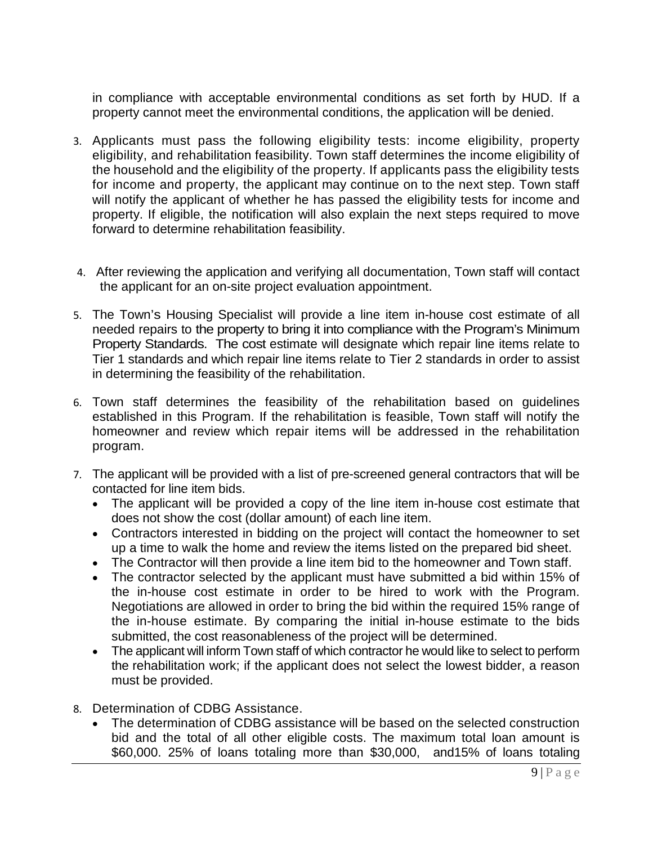in compliance with acceptable environmental conditions as set forth by HUD. If a property cannot meet the environmental conditions, the application will be denied.

- 3. Applicants must pass the following eligibility tests: income eligibility, property eligibility, and rehabilitation feasibility. Town staff determines the income eligibility of the household and the eligibility of the property. If applicants pass the eligibility tests for income and property, the applicant may continue on to the next step. Town staff will notify the applicant of whether he has passed the eligibility tests for income and property. If eligible, the notification will also explain the next steps required to move forward to determine rehabilitation feasibility.
- 4. After reviewing the application and verifying all documentation, Town staff will contact the applicant for an on-site project evaluation appointment.
- 5. The Town's Housing Specialist will provide a line item in-house cost estimate of all needed repairs to the property to bring it into compliance with the Program's Minimum Property Standards. The cost estimate will designate which repair line items relate to Tier 1 standards and which repair line items relate to Tier 2 standards in order to assist in determining the feasibility of the rehabilitation.
- 6. Town staff determines the feasibility of the rehabilitation based on guidelines established in this Program. If the rehabilitation is feasible, Town staff will notify the homeowner and review which repair items will be addressed in the rehabilitation program.
- 7. The applicant will be provided with a list of pre-screened general contractors that will be contacted for line item bids.
	- The applicant will be provided a copy of the line item in-house cost estimate that does not show the cost (dollar amount) of each line item.
	- Contractors interested in bidding on the project will contact the homeowner to set up a time to walk the home and review the items listed on the prepared bid sheet.
	- The Contractor will then provide a line item bid to the homeowner and Town staff.
	- The contractor selected by the applicant must have submitted a bid within 15% of the in-house cost estimate in order to be hired to work with the Program. Negotiations are allowed in order to bring the bid within the required 15% range of the in-house estimate. By comparing the initial in-house estimate to the bids submitted, the cost reasonableness of the project will be determined.
	- The applicant will inform Town staff of which contractor he would like to select to perform the rehabilitation work; if the applicant does not select the lowest bidder, a reason must be provided.
- 8. Determination of CDBG Assistance.
	- The determination of CDBG assistance will be based on the selected construction bid and the total of all other eligible costs. The maximum total loan amount is \$60,000. 25% of loans totaling more than \$30,000, and15% of loans totaling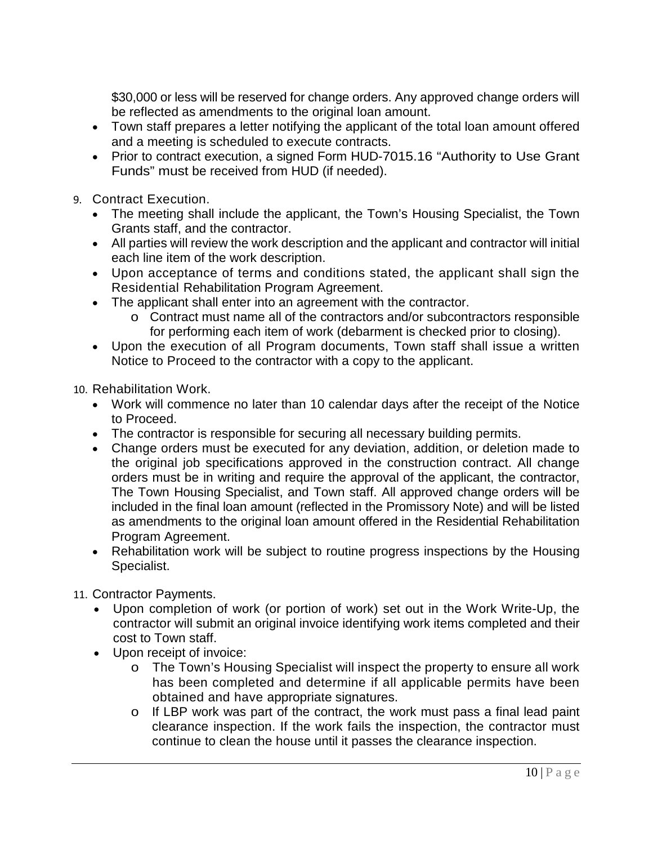\$30,000 or less will be reserved for change orders. Any approved change orders will be reflected as amendments to the original loan amount.

- Town staff prepares a letter notifying the applicant of the total loan amount offered and a meeting is scheduled to execute contracts.
- Prior to contract execution, a signed Form HUD-7015.16 "Authority to Use Grant Funds" must be received from HUD (if needed).
- 9. Contract Execution.
	- The meeting shall include the applicant, the Town's Housing Specialist, the Town Grants staff, and the contractor.
	- All parties will review the work description and the applicant and contractor will initial each line item of the work description.
	- Upon acceptance of terms and conditions stated, the applicant shall sign the Residential Rehabilitation Program Agreement.
	- The applicant shall enter into an agreement with the contractor.
		- o Contract must name all of the contractors and/or subcontractors responsible for performing each item of work (debarment is checked prior to closing).
	- Upon the execution of all Program documents, Town staff shall issue a written Notice to Proceed to the contractor with a copy to the applicant.

10. Rehabilitation Work.

- Work will commence no later than 10 calendar days after the receipt of the Notice to Proceed.
- The contractor is responsible for securing all necessary building permits.
- Change orders must be executed for any deviation, addition, or deletion made to the original job specifications approved in the construction contract. All change orders must be in writing and require the approval of the applicant, the contractor, The Town Housing Specialist, and Town staff. All approved change orders will be included in the final loan amount (reflected in the Promissory Note) and will be listed as amendments to the original loan amount offered in the Residential Rehabilitation Program Agreement.
- Rehabilitation work will be subject to routine progress inspections by the Housing Specialist.
- 11. Contractor Payments.
	- Upon completion of work (or portion of work) set out in the Work Write-Up, the contractor will submit an original invoice identifying work items completed and their cost to Town staff.
	- Upon receipt of invoice:
		- o The Town's Housing Specialist will inspect the property to ensure all work has been completed and determine if all applicable permits have been obtained and have appropriate signatures.
		- o If LBP work was part of the contract, the work must pass a final lead paint clearance inspection. If the work fails the inspection, the contractor must continue to clean the house until it passes the clearance inspection.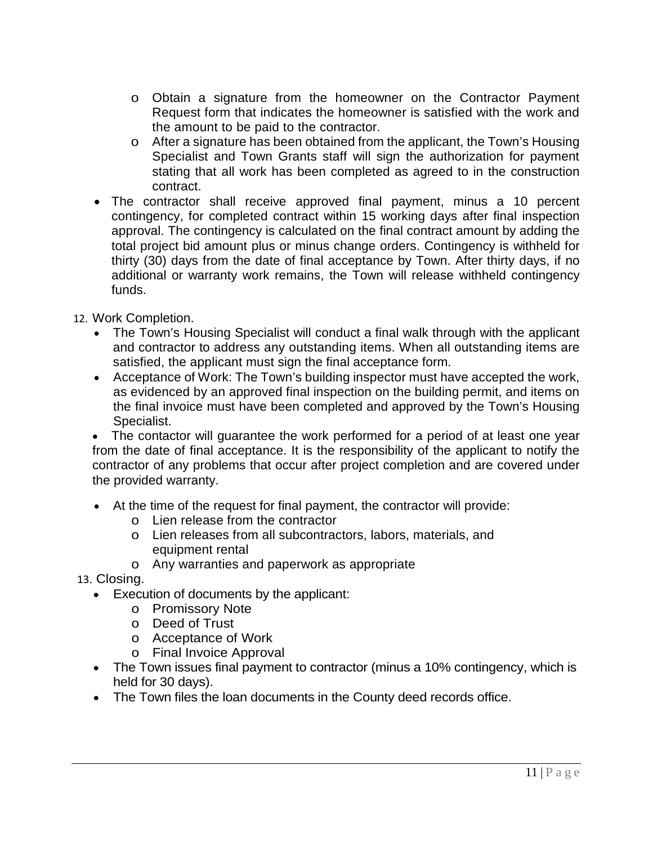- o Obtain a signature from the homeowner on the Contractor Payment Request form that indicates the homeowner is satisfied with the work and the amount to be paid to the contractor.
- o After a signature has been obtained from the applicant, the Town's Housing Specialist and Town Grants staff will sign the authorization for payment stating that all work has been completed as agreed to in the construction contract.
- The contractor shall receive approved final payment, minus a 10 percent contingency, for completed contract within 15 working days after final inspection approval. The contingency is calculated on the final contract amount by adding the total project bid amount plus or minus change orders. Contingency is withheld for thirty (30) days from the date of final acceptance by Town. After thirty days, if no additional or warranty work remains, the Town will release withheld contingency funds.

12. Work Completion.

- The Town's Housing Specialist will conduct a final walk through with the applicant and contractor to address any outstanding items. When all outstanding items are satisfied, the applicant must sign the final acceptance form.
- Acceptance of Work: The Town's building inspector must have accepted the work, as evidenced by an approved final inspection on the building permit, and items on the final invoice must have been completed and approved by the Town's Housing Specialist.

• The contactor will guarantee the work performed for a period of at least one year from the date of final acceptance. It is the responsibility of the applicant to notify the contractor of any problems that occur after project completion and are covered under the provided warranty.

- At the time of the request for final payment, the contractor will provide:
	- o Lien release from the contractor
	- o Lien releases from all subcontractors, labors, materials, and equipment rental
	- o Any warranties and paperwork as appropriate
- 13. Closing.
	- Execution of documents by the applicant:
		- o Promissory Note
		- o Deed of Trust
		- o Acceptance of Work
		- o Final Invoice Approval
	- The Town issues final payment to contractor (minus a 10% contingency, which is held for 30 days).
	- The Town files the loan documents in the County deed records office.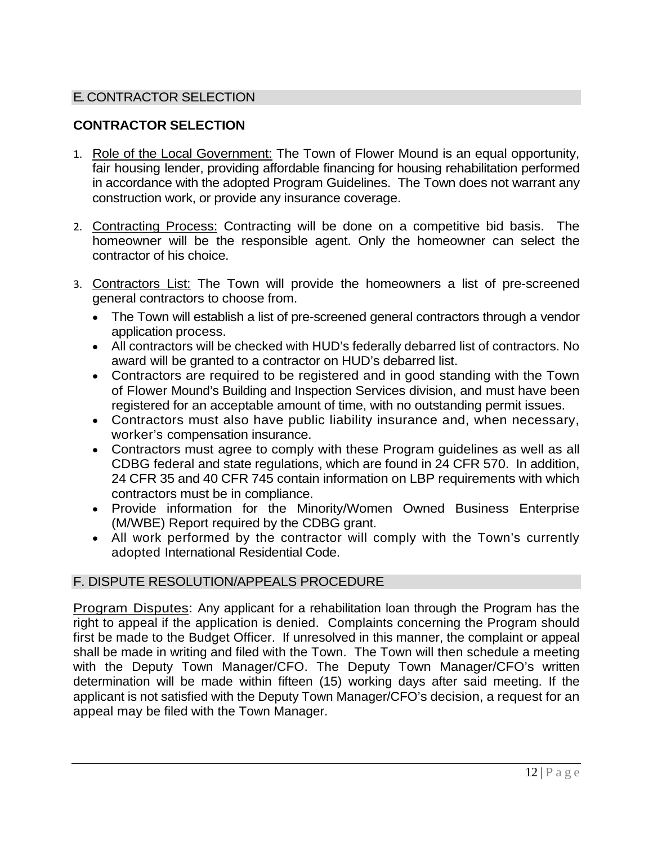# **E. CONTRACTOR SELECTION**

# **CONTRACTOR SELECTION**

- 1. Role of the Local Government: The Town of Flower Mound is an equal opportunity, fair housing lender, providing affordable financing for housing rehabilitation performed in accordance with the adopted Program Guidelines. The Town does not warrant any construction work, or provide any insurance coverage.
- 2. Contracting Process: Contracting will be done on a competitive bid basis. The homeowner will be the responsible agent. Only the homeowner can select the contractor of his choice.
- 3. Contractors List: The Town will provide the homeowners a list of pre-screened general contractors to choose from.
	- The Town will establish a list of pre-screened general contractors through a vendor application process.
	- All contractors will be checked with HUD's federally debarred list of contractors. No award will be granted to a contractor on HUD's debarred list.
	- Contractors are required to be registered and in good standing with the Town of Flower Mound's Building and Inspection Services division, and must have been registered for an acceptable amount of time, with no outstanding permit issues.
	- Contractors must also have public liability insurance and, when necessary, worker's compensation insurance.
	- Contractors must agree to comply with these Program guidelines as well as all CDBG federal and state regulations, which are found in 24 CFR 570. In addition, 24 CFR 35 and 40 CFR 745 contain information on LBP requirements with which contractors must be in compliance.
	- Provide information for the Minority/Women Owned Business Enterprise (M/WBE) Report required by the CDBG grant.
	- All work performed by the contractor will comply with the Town's currently adopted International Residential Code.

# F. DISPUTE RESOLUTION/APPEALS PROCEDURE

Program Disputes: Any applicant for a rehabilitation loan through the Program has the right to appeal if the application is denied. Complaints concerning the Program should first be made to the Budget Officer. If unresolved in this manner, the complaint or appeal shall be made in writing and filed with the Town. The Town will then schedule a meeting with the Deputy Town Manager/CFO. The Deputy Town Manager/CFO's written determination will be made within fifteen (15) working days after said meeting. If the applicant is not satisfied with the Deputy Town Manager/CFO's decision, a request for an appeal may be filed with the Town Manager.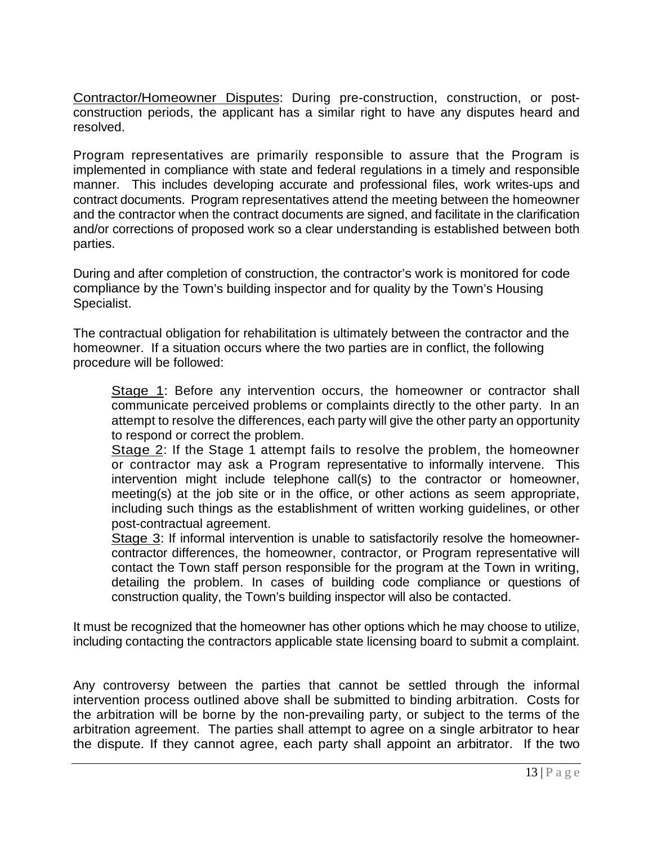Contractor/Homeowner Disputes: During pre-construction, construction, or postconstruction periods, the applicant has a similar right to have any disputes heard and resolved.

Program representatives are primarily responsible to assure that the Program is implemented in compliance with state and federal regulations in a timely and responsible manner. This includes developing accurate and professional files, work writes-ups and contract documents. Program representatives attend the meeting between the homeowner and the contractor when the contract documents are signed, and facilitate in the clarification and/or corrections of proposed work so a clear understanding is established between both parties.

During and after completion of construction, the contractor's work is monitored for code compliance by the Town's building inspector and for quality by the Town's Housing Specialist.

The contractual obligation for rehabilitation is ultimately between the contractor and the homeowner. If a situation occurs where the two parties are in conflict, the following procedure will be followed:

Stage 1: Before any intervention occurs, the homeowner or contractor shall communicate perceived problems or complaints directly to the other party. In an attempt to resolve the differences, each party will give the other party an opportunity to respond or correct the problem.

Stage 2: If the Stage 1 attempt fails to resolve the problem, the homeowner or contractor may ask a Program representative to informally intervene. This intervention might include telephone call(s) to the contractor or homeowner, meeting(s) at the job site or in the office, or other actions as seem appropriate, including such things as the establishment of written working guidelines, or other post-contractual agreement.

Stage 3: If informal intervention is unable to satisfactorily resolve the homeownercontractor differences, the homeowner, contractor, or Program representative will contact the Town staff person responsible for the program at the Town in writing, detailing the problem. In cases of building code compliance or questions of construction quality, the Town's building inspector will also be contacted.

It must be recognized that the homeowner has other options which he may choose to utilize, including contacting the contractors applicable state licensing board to submit a complaint.

Any controversy between the parties that cannot be settled through the informal intervention process outlined above shall be submitted to binding arbitration. Costs for the arbitration will be borne by the non-prevailing party, or subject to the terms of the arbitration agreement. The parties shall attempt to agree on a single arbitrator to hear the dispute. If they cannot agree, each party shall appoint an arbitrator. If the two